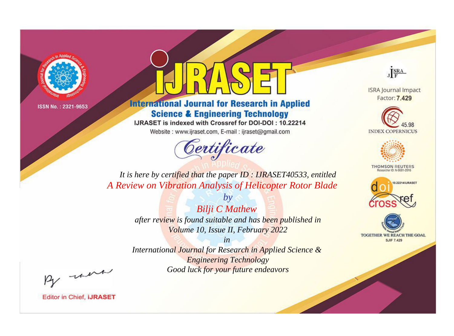

# **International Journal for Research in Applied Science & Engineering Technology**

IJRASET is indexed with Crossref for DOI-DOI: 10.22214

Website: www.ijraset.com, E-mail: ijraset@gmail.com



JERA

**ISRA Journal Impact** Factor: 7.429





**THOMSON REUTERS** 



TOGETHER WE REACH THE GOAL **SJIF 7.429** 

It is here by certified that the paper ID: IJRASET40533, entitled A Review on Vibration Analysis of Helicopter Rotor Blade

> **Bilji C Mathew** after review is found suitable and has been published in Volume 10, Issue II, February 2022

 $by$ 

 $in$ International Journal for Research in Applied Science & **Engineering Technology** Good luck for your future endeavors

By morn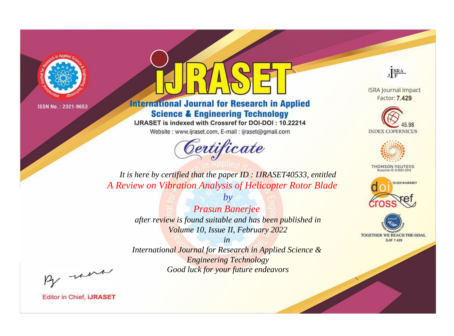

# **International Journal for Research in Applied Science & Engineering Technology**

IJRASET is indexed with Crossref for DOI-DOI: 10.22214

Website: www.ijraset.com, E-mail: ijraset@gmail.com



JERA

**ISRA Journal Impact** Factor: 7.429





**THOMSON REUTERS** 



TOGETHER WE REACH THE GOAL **SJIF 7.429** 

It is here by certified that the paper ID: IJRASET40533, entitled A Review on Vibration Analysis of Helicopter Rotor Blade

> **Prasun Banerjee** after review is found suitable and has been published in Volume 10, Issue II, February 2022

 $b\nu$ 

 $in$ International Journal for Research in Applied Science & **Engineering Technology** Good luck for your future endeavors

By morn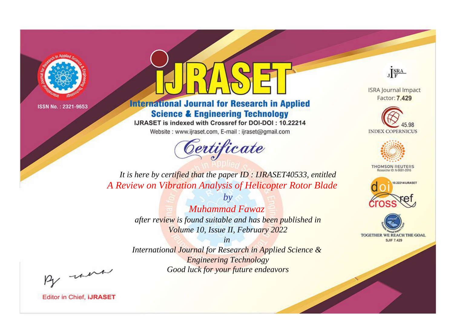

# **International Journal for Research in Applied Science & Engineering Technology**

IJRASET is indexed with Crossref for DOI-DOI: 10.22214

Website: www.ijraset.com, E-mail: ijraset@gmail.com



JERA

**ISRA Journal Impact** Factor: 7.429





**THOMSON REUTERS** 



TOGETHER WE REACH THE GOAL **SJIF 7.429** 

It is here by certified that the paper ID: IJRASET40533, entitled A Review on Vibration Analysis of Helicopter Rotor Blade

> $b\nu$ **Muhammad Fawaz** after review is found suitable and has been published in Volume 10, Issue II, February 2022

> $in$ International Journal for Research in Applied Science & **Engineering Technology** Good luck for your future endeavors

By morn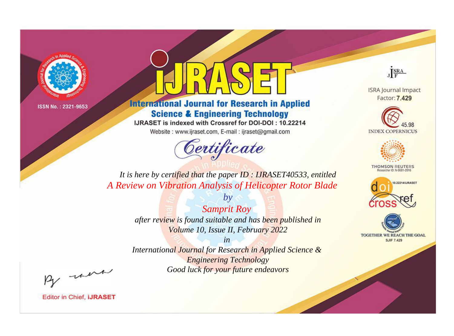

# **International Journal for Research in Applied Science & Engineering Technology**

IJRASET is indexed with Crossref for DOI-DOI: 10.22214

Website: www.ijraset.com, E-mail: ijraset@gmail.com



JERA

**ISRA Journal Impact** Factor: 7.429





**THOMSON REUTERS** 



TOGETHER WE REACH THE GOAL **SJIF 7.429** 

*It is here by certified that the paper ID : IJRASET40533, entitled A Review on Vibration Analysis of Helicopter Rotor Blade*

> *Samprit Roy after review is found suitable and has been published in Volume 10, Issue II, February 2022*

*by*

*in* 

*International Journal for Research in Applied Science & Engineering Technology Good luck for your future endeavors*

By morn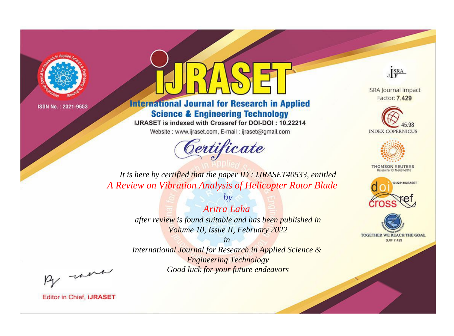

# **International Journal for Research in Applied Science & Engineering Technology**

IJRASET is indexed with Crossref for DOI-DOI: 10.22214

Website: www.ijraset.com, E-mail: ijraset@gmail.com



JERA

**ISRA Journal Impact** Factor: 7.429





**THOMSON REUTERS** 



TOGETHER WE REACH THE GOAL **SJIF 7.429** 

*It is here by certified that the paper ID : IJRASET40533, entitled A Review on Vibration Analysis of Helicopter Rotor Blade*

> *Aritra Laha after review is found suitable and has been published in Volume 10, Issue II, February 2022*

*by*

*in* 

*International Journal for Research in Applied Science & Engineering Technology Good luck for your future endeavors*

By morn